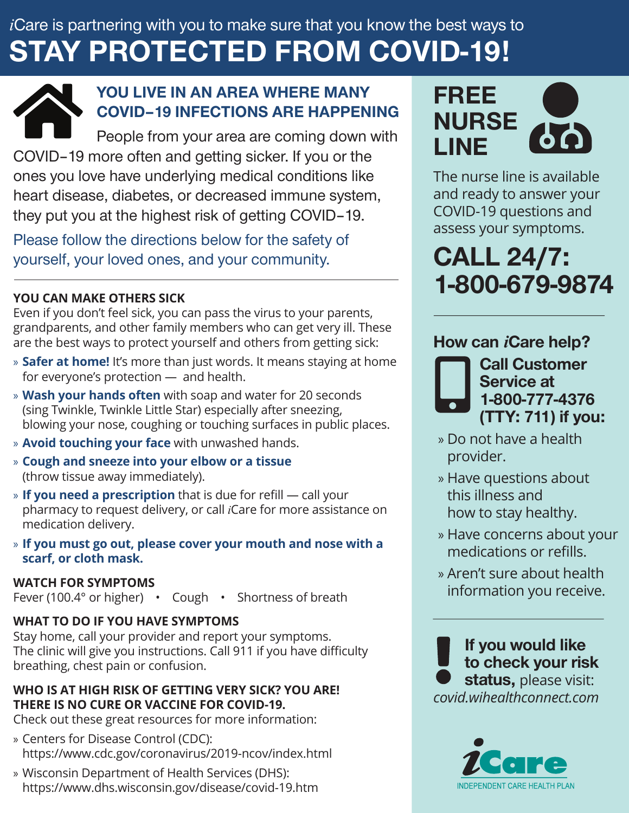# *i*Care is partnering with you to make sure that you know the best ways to *i*Care is partnering with you to make sure that you know the best ways to STAY PROTECTED FROM COVID-19! STAY PROTECTED FROM COVID-19!



## YOU LIVE IN AN AREA WHERE MANY YOU LIVE IN AN AREA WHERE MANY<br>COVID-19 INFECTIONS ARE HAPPENING

People from your area are coming down with COVID–19 more often and getting sicker. If you or the Feople from your area are coming down with<br>COVID–19 more often and getting sicker. If you or the<br>ones you love have underlying medical conditions like heart disease, diabetes, or decreased immune system, they put you at the highest risk of getting COVID-19. they put you at the highest risk of getting COVID–19.

Please follow the directions below for the safety of Please follow the directions below for the safety of yourself, your loved ones, and your community. yourself, your loved ones, and your community.

## **YOU CAN MAKE OTHERS SICK YOU CAN MAKE OTHERS SICK**

Even if you don't feel sick, you can pass the virus to your parents, grandparents, and other family members who can get very ill. These Even if you don't feel sick, you can pass the virus to your parents,<br>grandparents, and other family members who can get very ill. These<br>are the best ways to protect yourself and others from getting sick:

- » **Safer at home!** It's more than just words. It means staying at home for everyone's protection — and health. for everyone's protection — and health.
- » **Wash your hands often** with soap and water for 20 seconds (sing Twinkle, Twinkle Little Star) especially after sneezing, » **Wash your hands often** with soap and water for 20 seconds (sing Twinkle, Twinkle Little Star) especially after sneezing, blowing your nose, coughing or touching surfaces in public places. blowing your nose, coughing or touching surfaces in public places.
- » **Avoid touching your face** with unwashed hands. » **Avoid touching your face** with unwashed hands.
- » **Cough and sneeze into your elbow or a tissue** » **Cough and sneeze into your elbow or a tissue** (throw tissue away immediately). (throw tissue away immediately).
- » **If you need a prescription** that is due for refill call your » **If you need a prescription** that is due for refill call your pharmacy to request delivery, or call *i*Care for more assistance on pharmacy to request delivery, or call *i*Care for more assistance on medication delivery. medication delivery.
- » **If you must go out, please cover your mouth and nose with a**  » **If you must go out, please cover your mouth and nose with scarf, or cloth mask. scarf, or cloth mask.**

#### **WATCH FOR SYMPTOMS WATCH FOR SYMPTOMS**

Fever (100.4° or higher) • Cough • Shortness of breath Fever (100.4° or higher) • Cough • Shortness of breath

### **WHAT TO DO IF YOU HAVE SYMPTOMS WHAT TO DO IF YOU HAVE SYMPTOMS**

Stay home, call your provider and report your symptoms. Stay home, call your provider and report your symptoms. The clinic will give you instructions. Call 911 if you have difficulty The clinic will give you instructions. Call 911 if you have difficulty breathing, chest pain or confusion. breathing, chest pain or confusion.

#### **WHO IS AT HIGH RISK OF GETTING VERY SICK? YOU ARE! WHO IS AT HIGH RISK OF GETTING VERY SICK? YOU ARE! THERE IS NO CURE OR VACCINE FOR COVID-19. THERE IS NO CURE OR VACCINE FOR COVID-19.**

Check out these great resources for more information: Check out these great resources for more information:

- » Centers for Disease Control (CDC): » Centers for Disease Control (CDC): https://www.cdc.gov/coronavirus/2019-ncov/index.html https://www.cdc.gov/coronavirus/2019-ncov/index.html
- » Wisconsin Department of Health Services (DHS): » Wisconsin Department of Health Services (DHS): https://www.dhs.wisconsin.gov/disease/covid-19.htm https://www.dhs.wisconsin.gov/disease/covid-19.htm



The nurse line is available nurse line is available and ready to answer your and ready to answer your COVID-19 questions and COVID-19 questions and assess your symptoms. assess your symptoms.

CALL 24/7: CALL 24/7: 1-800-679-9874 1-800-679-9874

# How can *i*Care help?



Call Customer Call Customer Service at Service at 1-800-777-4376 1-800-777-4376 (TTY: 711) if you: (TTY: 711) if you:

- » Do not have a health Do not have a health provider. provider.
- » Have questions about Have questions about this illness and this illness and how to stay healthy. how to stay healthy.
- » Have concerns about your Have concerns about your medications or refills. medications or refills.
- » Aren't sure about health Aren't sure about health information you receive. information you receive.

If you would like If you would like to check your risk to check your risk status, please visit: *covid.wihealthconnect.com covid.wihealthconnect.com*